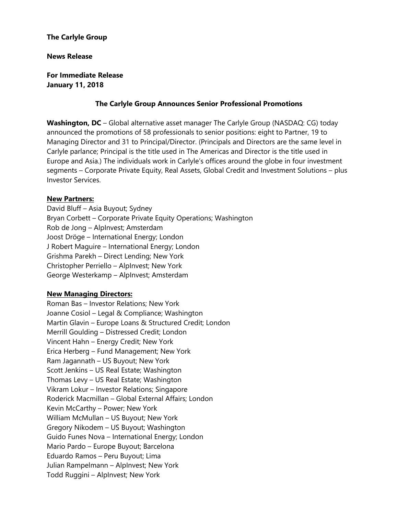# **The Carlyle Group**

#### **News Release**

**For Immediate Release January 11, 2018**

## **The Carlyle Group Announces Senior Professional Promotions**

**Washington, DC** – Global alternative asset manager The Carlyle Group (NASDAQ: CG) today announced the promotions of 58 professionals to senior positions: eight to Partner, 19 to Managing Director and 31 to Principal/Director. (Principals and Directors are the same level in Carlyle parlance; Principal is the title used in The Americas and Director is the title used in Europe and Asia.) The individuals work in Carlyle's offices around the globe in four investment segments – Corporate Private Equity, Real Assets, Global Credit and Investment Solutions – plus Investor Services.

#### **New Partners:**

David Bluff – Asia Buyout; Sydney Bryan Corbett – Corporate Private Equity Operations; Washington Rob de Jong – AlpInvest; Amsterdam Joost Dröge – International Energy; London J Robert Maguire – International Energy; London Grishma Parekh – Direct Lending; New York Christopher Perriello – AlpInvest; New York George Westerkamp – AlpInvest; Amsterdam

## **New Managing Directors:**

Roman Bas – Investor Relations; New York Joanne Cosiol – Legal & Compliance; Washington Martin Glavin – Europe Loans & Structured Credit; London Merrill Goulding – Distressed Credit; London Vincent Hahn – Energy Credit; New York Erica Herberg – Fund Management; New York Ram Jagannath – US Buyout; New York Scott Jenkins – US Real Estate; Washington Thomas Levy – US Real Estate; Washington Vikram Lokur – Investor Relations; Singapore Roderick Macmillan – Global External Affairs; London Kevin McCarthy – Power; New York William McMullan – US Buyout; New York Gregory Nikodem – US Buyout; Washington Guido Funes Nova – International Energy; London Mario Pardo – Europe Buyout; Barcelona Eduardo Ramos – Peru Buyout; Lima Julian Rampelmann – AlpInvest; New York Todd Ruggini – AlpInvest; New York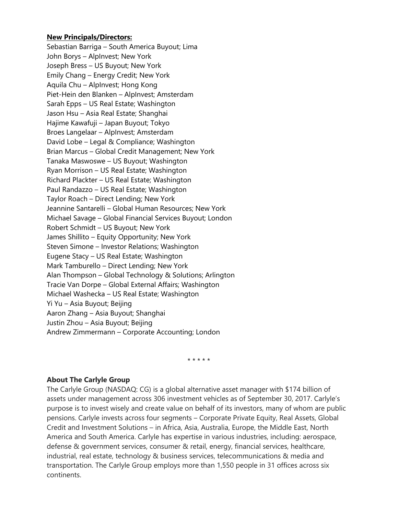## **New Principals/Directors:**

Sebastian Barriga – South America Buyout; Lima John Borys – AlpInvest; New York Joseph Bress – US Buyout; New York Emily Chang – Energy Credit; New York Aquila Chu – AlpInvest; Hong Kong Piet-Hein den Blanken – AlpInvest; Amsterdam Sarah Epps – US Real Estate; Washington Jason Hsu – Asia Real Estate; Shanghai Hajime Kawafuji – Japan Buyout; Tokyo Broes Langelaar – AlpInvest; Amsterdam David Lobe – Legal & Compliance; Washington Brian Marcus – Global Credit Management; New York Tanaka Maswoswe – US Buyout; Washington Ryan Morrison – US Real Estate; Washington Richard Plackter – US Real Estate; Washington Paul Randazzo – US Real Estate; Washington Taylor Roach – Direct Lending; New York Jeannine Santarelli – Global Human Resources; New York Michael Savage – Global Financial Services Buyout; London Robert Schmidt – US Buyout; New York James Shillito – Equity Opportunity; New York Steven Simone – Investor Relations; Washington Eugene Stacy – US Real Estate; Washington Mark Tamburello – Direct Lending; New York Alan Thompson – Global Technology & Solutions; Arlington Tracie Van Dorpe – Global External Affairs; Washington Michael Washecka – US Real Estate; Washington Yi Yu – Asia Buyout; Beijing Aaron Zhang – Asia Buyout; Shanghai Justin Zhou – Asia Buyout; Beijing Andrew Zimmermann – Corporate Accounting; London

\* \* \* \* \*

#### **About The Carlyle Group**

The Carlyle Group (NASDAQ: CG) is a global alternative asset manager with \$174 billion of assets under management across 306 investment vehicles as of September 30, 2017. Carlyle's purpose is to invest wisely and create value on behalf of its investors, many of whom are public pensions. Carlyle invests across four segments – Corporate Private Equity, Real Assets, Global Credit and Investment Solutions – in Africa, Asia, Australia, Europe, the Middle East, North America and South America. Carlyle has expertise in various industries, including: aerospace, defense & government services, consumer & retail, energy, financial services, healthcare, industrial, real estate, technology & business services, telecommunications & media and transportation. The Carlyle Group employs more than 1,550 people in 31 offices across six continents.